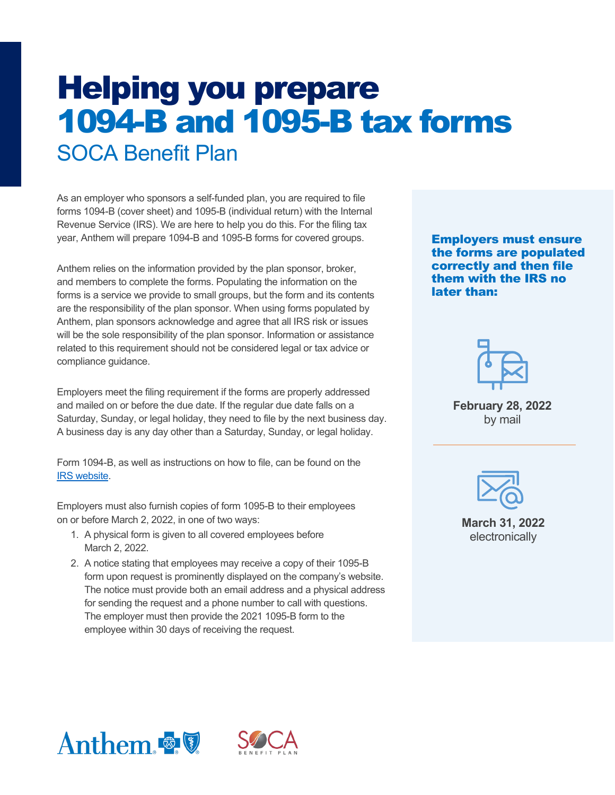# Helping you prepare 1094-B and 1095-B tax forms SOCA Benefit Plan

As an employer who sponsors a self-funded plan, you are required to file forms 1094-B (cover sheet) and 1095-B (individual return) with the Internal Revenue Service (IRS). We are here to help you do this. For the filing tax year, Anthem will prepare 1094-B and 1095-B forms for covered groups.

Anthem relies on the information provided by the plan sponsor, broker, and members to complete the forms. Populating the information on the forms is a service we provide to small groups, but the form and its contents are the responsibility of the plan sponsor. When using forms populated by Anthem, plan sponsors acknowledge and agree that all IRS risk or issues will be the sole responsibility of the plan sponsor. Information or assistance related to this requirement should not be considered legal or tax advice or compliance guidance.

Employers meet the filing requirement if the forms are properly addressed and mailed on or before the due date. If the regular due date falls on a Saturday, Sunday, or legal holiday, they need to file by the next business day. A business day is any day other than a Saturday, Sunday, or legal holiday.

Form 1094-B, as well as instructions on how to file, can be found on the [IRS website.](https://www.irs.gov/pub/irs-pdf/i109495b.pdf)

Employers must also furnish copies of form 1095-B to their employees on or before March 2, 2022, in one of two ways:

- 1. A physical form is given to all covered employees before March 2, 2022.
- 2. A notice stating that employees may receive a copy of their 1095-B form upon request is prominently displayed on the company's website. The notice must provide both an email address and a physical address for sending the request and a phone number to call with questions. The employer must then provide the 2021 1095-B form to the employee within 30 days of receiving the request.

Employers must ensure the forms are populated correctly and then file them with the IRS no later than:



**February 28, 2022** by mail



**March 31, 2022**  electronically